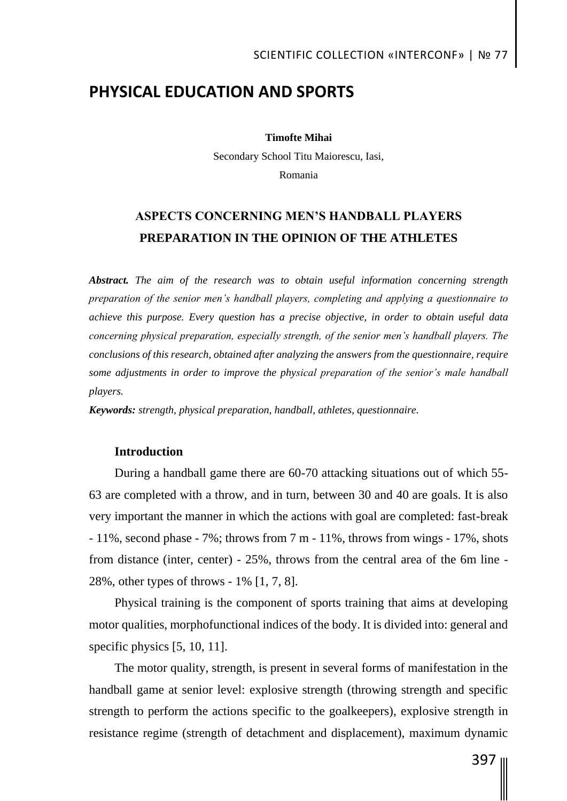## **PHYSICAL EDUCATION AND SPORTS**

**Timofte Mihai**

Secondary School Titu Maiorescu, Iasi, Romania

# **ASPECTS CONCERNING MEN'S HANDBALL PLAYERS PREPARATION IN THE OPINION OF THE ATHLETES**

*Abstract. The aim of the research was to obtain useful information concerning strength preparation of the senior men's handball players, completing and applying a questionnaire to achieve this purpose. Every question has a precise objective, in order to obtain useful data concerning physical preparation, especially strength, of the senior men's handball players. The conclusions of this research, obtained after analyzing the answers from the questionnaire, require some adjustments in order to improve the physical preparation of the senior's male handball players.*

*Keywords: strength, physical preparation, handball, athletes, questionnaire.*

### **Introduction**

During a handball game there are 60-70 attacking situations out of which 55- 63 are completed with a throw, and in turn, between 30 and 40 are goals. It is also very important the manner in which the actions with goal are completed: fast-break - 11%, second phase - 7%; throws from 7 m - 11%, throws from wings - 17%, shots from distance (inter, center) - 25%, throws from the central area of the 6m line - 28%, other types of throws - 1% [1, 7, 8].

Physical training is the component of sports training that aims at developing motor qualities, morphofunctional indices of the body. It is divided into: general and specific physics [5, 10, 11].

The motor quality, strength, is present in several forms of manifestation in the handball game at senior level: explosive strength (throwing strength and specific strength to perform the actions specific to the goalkeepers), explosive strength in resistance regime (strength of detachment and displacement), maximum dynamic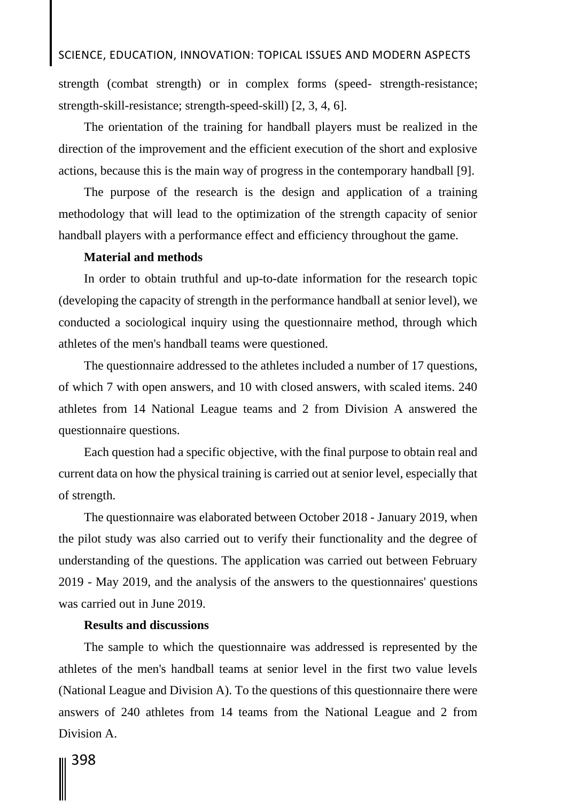## SCIENCE, EDUCATION, INNOVATION: TOPICAL ISSUES AND MODERN ASPECTS

strength (combat strength) or in complex forms (speed- strength-resistance; strength-skill-resistance; strength-speed-skill) [2, 3, 4, 6].

The orientation of the training for handball players must be realized in the direction of the improvement and the efficient execution of the short and explosive actions, because this is the main way of progress in the contemporary handball [9].

The purpose of the research is the design and application of a training methodology that will lead to the optimization of the strength capacity of senior handball players with a performance effect and efficiency throughout the game.

### **Material and methods**

In order to obtain truthful and up-to-date information for the research topic (developing the capacity of strength in the performance handball at senior level), we conducted a sociological inquiry using the questionnaire method, through which athletes of the men's handball teams were questioned.

The questionnaire addressed to the athletes included a number of 17 questions, of which 7 with open answers, and 10 with closed answers, with scaled items. 240 athletes from 14 National League teams and 2 from Division A answered the questionnaire questions.

Each question had a specific objective, with the final purpose to obtain real and current data on how the physical training is carried out at senior level, especially that of strength.

The questionnaire was elaborated between October 2018 - January 2019, when the pilot study was also carried out to verify their functionality and the degree of understanding of the questions. The application was carried out between February 2019 - May 2019, and the analysis of the answers to the questionnaires' questions was carried out in June 2019.

### **Results and discussions**

The sample to which the questionnaire was addressed is represented by the athletes of the men's handball teams at senior level in the first two value levels (National League and Division A). To the questions of this questionnaire there were answers of 240 athletes from 14 teams from the National League and 2 from Division A.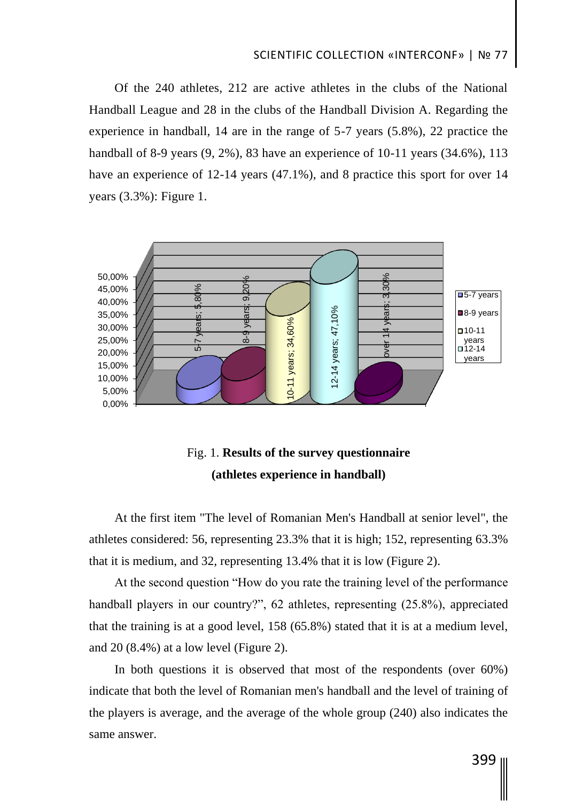## SCIENTIFIC COLLECTION «INTERCONF» | № 77

Of the 240 athletes, 212 are active athletes in the clubs of the National Handball League and 28 in the clubs of the Handball Division A. Regarding the experience in handball, 14 are in the range of 5-7 years (5.8%), 22 practice the handball of 8-9 years (9, 2%), 83 have an experience of 10-11 years (34.6%), 113 have an experience of 12-14 years (47.1%), and 8 practice this sport for over 14 years (3.3%): Figure 1.



# Fig. 1. **Results of the survey questionnaire (athletes experience in handball)**

At the first item "The level of Romanian Men's Handball at senior level", the athletes considered: 56, representing 23.3% that it is high; 152, representing 63.3% that it is medium, and 32, representing 13.4% that it is low (Figure 2).

At the second question "How do you rate the training level of the performance handball players in our country?", 62 athletes, representing (25.8%), appreciated that the training is at a good level, 158 (65.8%) stated that it is at a medium level, and 20 (8.4%) at a low level (Figure 2).

In both questions it is observed that most of the respondents (over 60%) indicate that both the level of Romanian men's handball and the level of training of the players is average, and the average of the whole group (240) also indicates the same answer.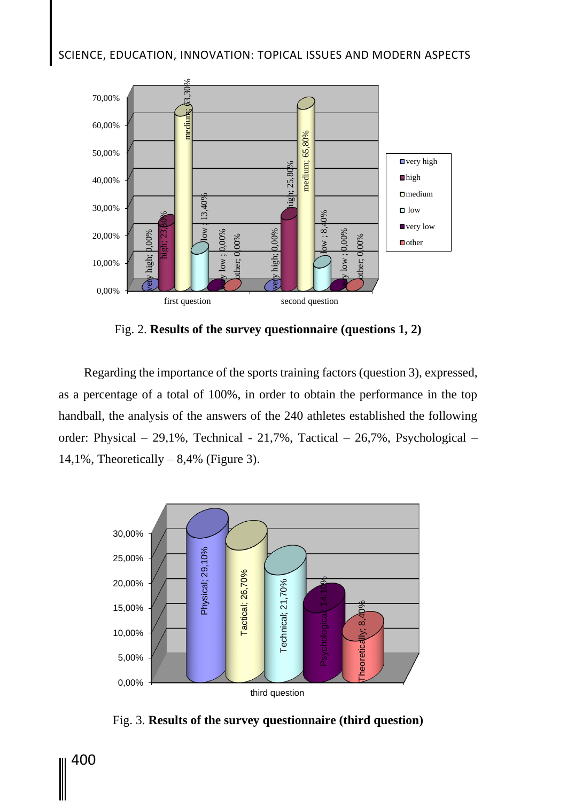# SCIENCE, EDUCATION, INNOVATION: TOPICAL ISSUES AND MODERN ASPECTS



Fig. 2. **Results of the survey questionnaire (questions 1, 2)**

Regarding the importance of the sports training factors (question 3), expressed, as a percentage of a total of 100%, in order to obtain the performance in the top handball, the analysis of the answers of the 240 athletes established the following order: Physical – 29,1%, Technical - 21,7%, Tactical – 26,7%, Psychological – 14,1%, Theoretically  $-8,4%$  (Figure 3).



Fig. 3. **Results of the survey questionnaire (third question)**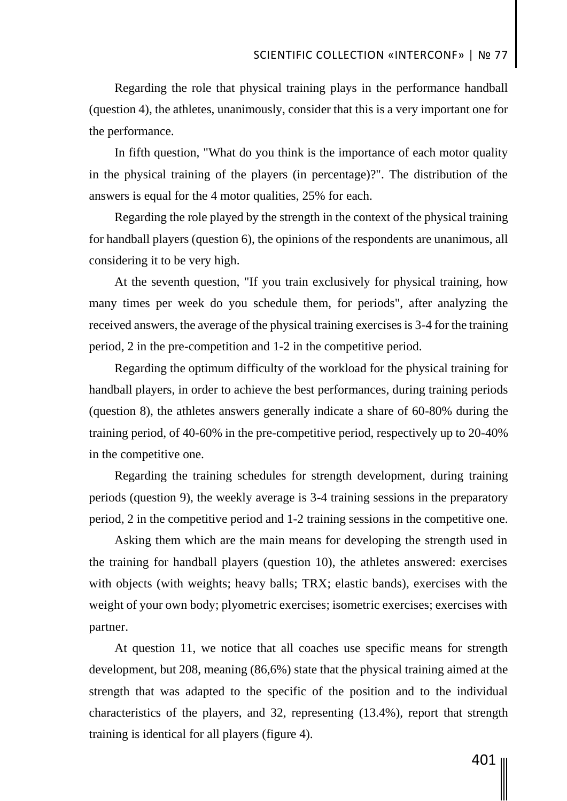Regarding the role that physical training plays in the performance handball (question 4), the athletes, unanimously, consider that this is a very important one for the performance.

In fifth question, "What do you think is the importance of each motor quality in the physical training of the players (in percentage)?". The distribution of the answers is equal for the 4 motor qualities, 25% for each.

Regarding the role played by the strength in the context of the physical training for handball players (question 6), the opinions of the respondents are unanimous, all considering it to be very high.

At the seventh question, "If you train exclusively for physical training, how many times per week do you schedule them, for periods", after analyzing the received answers, the average of the physical training exercises is 3-4 for the training period, 2 in the pre-competition and 1-2 in the competitive period.

Regarding the optimum difficulty of the workload for the physical training for handball players, in order to achieve the best performances, during training periods (question 8), the athletes answers generally indicate a share of 60-80% during the training period, of 40-60% in the pre-competitive period, respectively up to 20-40% in the competitive one.

Regarding the training schedules for strength development, during training periods (question 9), the weekly average is 3-4 training sessions in the preparatory period, 2 in the competitive period and 1-2 training sessions in the competitive one.

Asking them which are the main means for developing the strength used in the training for handball players (question 10), the athletes answered: exercises with objects (with weights; heavy balls; TRX; elastic bands), exercises with the weight of your own body; plyometric exercises; isometric exercises; exercises with partner.

At question 11, we notice that all coaches use specific means for strength development, but 208, meaning (86,6%) state that the physical training aimed at the strength that was adapted to the specific of the position and to the individual characteristics of the players, and 32, representing (13.4%), report that strength training is identical for all players (figure 4).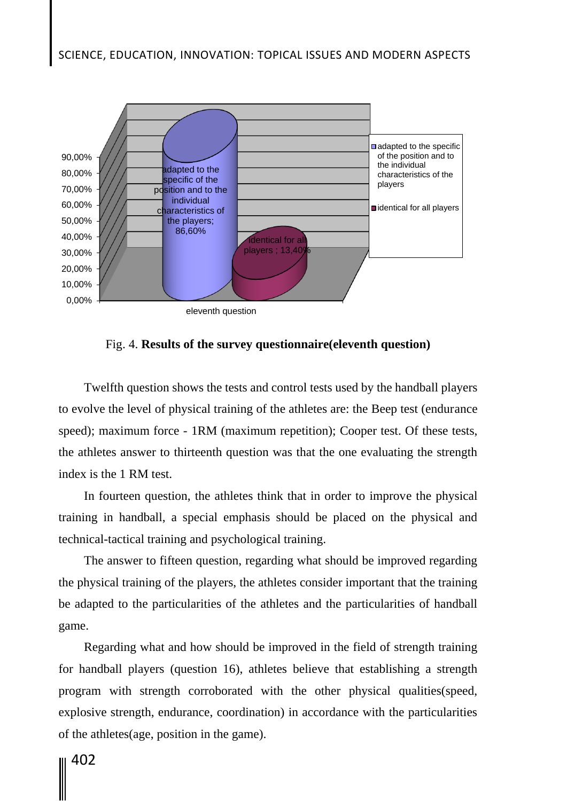

Fig. 4. **Results of the survey questionnaire(eleventh question)**

Twelfth question shows the tests and control tests used by the handball players to evolve the level of physical training of the athletes are: the Beep test (endurance speed); maximum force - 1RM (maximum repetition); Cooper test. Of these tests, the athletes answer to thirteenth question was that the one evaluating the strength index is the 1 RM test.

In fourteen question, the athletes think that in order to improve the physical training in handball, a special emphasis should be placed on the physical and technical-tactical training and psychological training.

The answer to fifteen question, regarding what should be improved regarding the physical training of the players, the athletes consider important that the training be adapted to the particularities of the athletes and the particularities of handball game.

Regarding what and how should be improved in the field of strength training for handball players (question 16), athletes believe that establishing a strength program with strength corroborated with the other physical qualities(speed, explosive strength, endurance, coordination) in accordance with the particularities of the athletes(age, position in the game).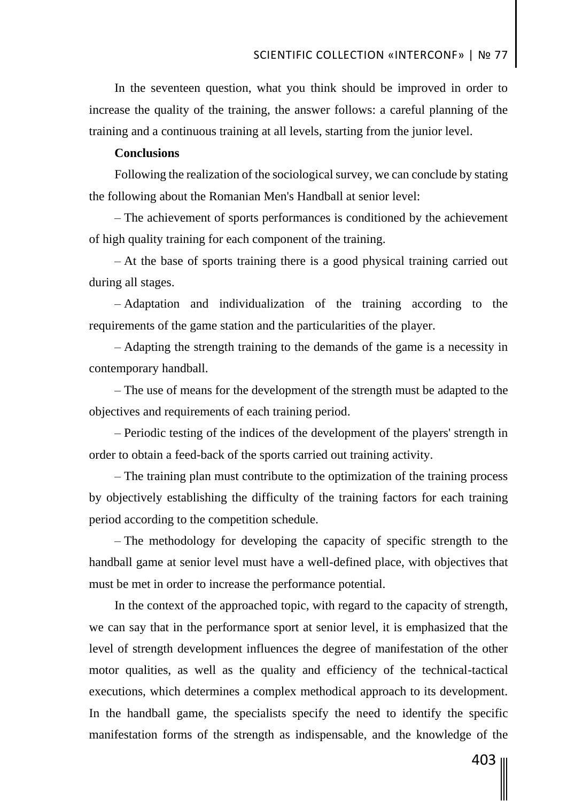In the seventeen question, what you think should be improved in order to increase the quality of the training, the answer follows: a careful planning of the training and a continuous training at all levels, starting from the junior level.

## **Conclusions**

Following the realization of the sociological survey, we can conclude by stating the following about the Romanian Men's Handball at senior level:

– The achievement of sports performances is conditioned by the achievement of high quality training for each component of the training.

– At the base of sports training there is a good physical training carried out during all stages.

– Adaptation and individualization of the training according to the requirements of the game station and the particularities of the player.

– Adapting the strength training to the demands of the game is a necessity in contemporary handball.

– The use of means for the development of the strength must be adapted to the objectives and requirements of each training period.

– Periodic testing of the indices of the development of the players' strength in order to obtain a feed-back of the sports carried out training activity.

– The training plan must contribute to the optimization of the training process by objectively establishing the difficulty of the training factors for each training period according to the competition schedule.

– The methodology for developing the capacity of specific strength to the handball game at senior level must have a well-defined place, with objectives that must be met in order to increase the performance potential.

In the context of the approached topic, with regard to the capacity of strength, we can say that in the performance sport at senior level, it is emphasized that the level of strength development influences the degree of manifestation of the other motor qualities, as well as the quality and efficiency of the technical-tactical executions, which determines a complex methodical approach to its development. In the handball game, the specialists specify the need to identify the specific manifestation forms of the strength as indispensable, and the knowledge of the